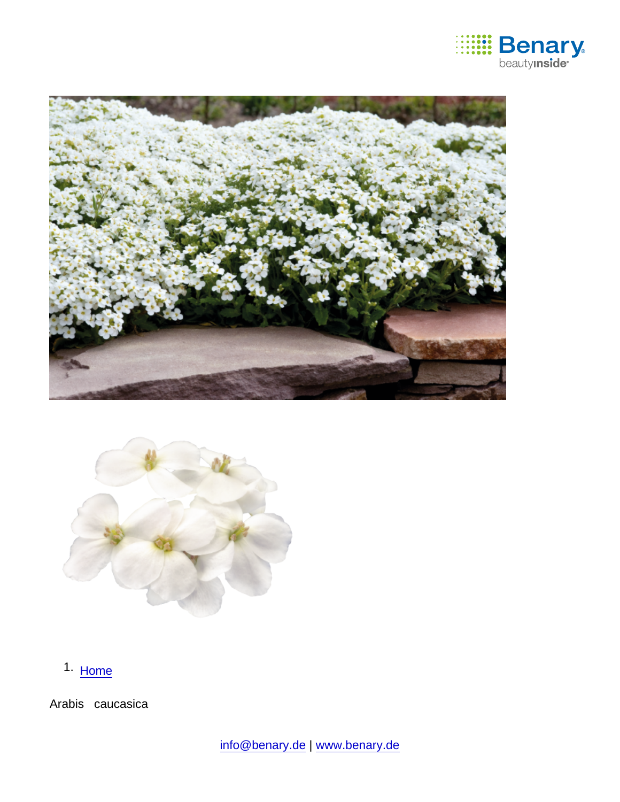

1. [Home](https://www.benary.com/)

Arabis caucasica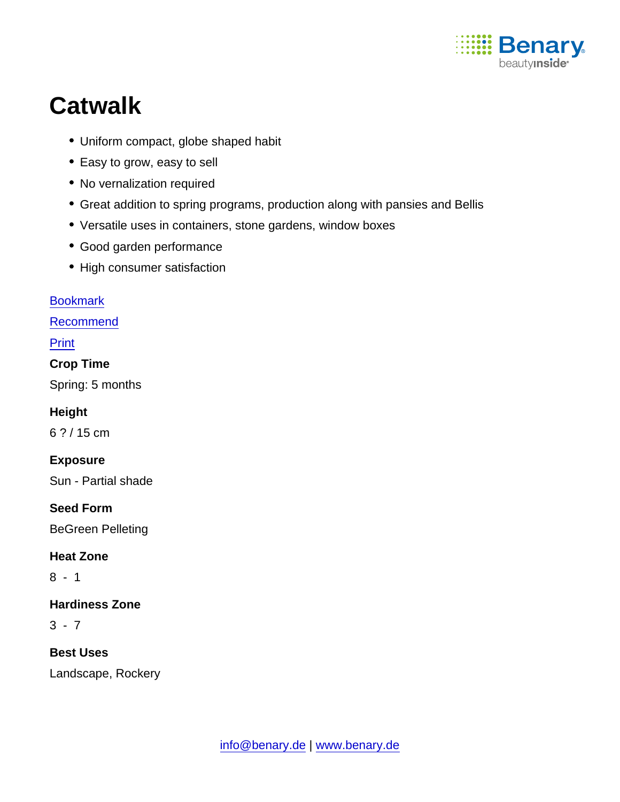

# **Catwalk**

- Uniform compact, globe shaped habit
- Easy to grow, easy to sell
- No vernalization required
- Great addition to spring programs, production along with pansies and Bellis
- Versatile uses in containers, stone gardens, window boxes
- Good garden performance
- High consumer satisfaction

#### [Bookmark](https://www.benary.com/flag/flag/product/5581?destination&token=Cu7JweycOCFW4X3gxOYb4n_bNEWxqwEIjR8jTM2P6_A)

[Recommend](mailto:?subject=Benary Arabis caucasica &body=https://www.benary.com/print/pdf/node/5581)

Print

Crop Time

Spring: 5 months

Height

6 ? / 15 cm

Exposure

Sun - Partial shade

Seed Form

BeGreen Pelleting

Heat Zone

8 - 1

Hardiness Zone

 $3 - 7$ 

Best Uses

Landscape, Rockery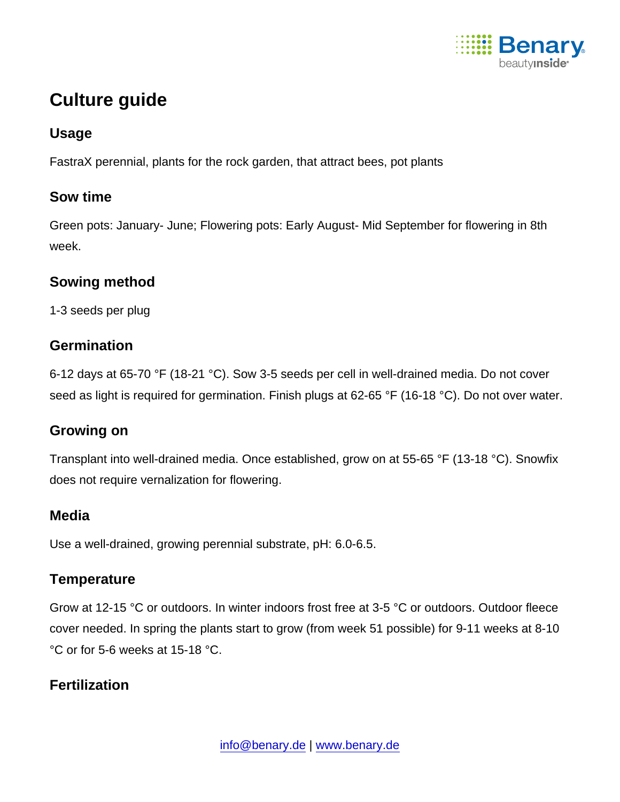

## Culture guide

### Usage

FastraX perennial, plants for the rock garden, that attract bees, pot plants

#### Sow time

Green pots: January- June; Flowering pots: Early August- Mid September for flowering in 8th week.

#### Sowing method

1-3 seeds per plug

### **Germination**

6-12 days at 65-70 °F (18-21 °C). Sow 3-5 seeds per cell in well-drained media. Do not cover seed as light is required for germination. Finish plugs at 62-65 °F (16-18 °C). Do not over water.

#### Growing on

Transplant into well-drained media. Once established, grow on at 55-65 °F (13-18 °C). Snowfix does not require vernalization for flowering.

#### **Media**

Use a well-drained, growing perennial substrate, pH: 6.0-6.5.

### **Temperature**

Grow at 12-15 °C or outdoors. In winter indoors frost free at 3-5 °C or outdoors. Outdoor fleece cover needed. In spring the plants start to grow (from week 51 possible) for 9-11 weeks at 8-10 °C or for 5-6 weeks at 15-18 °C.

### **Fertilization**